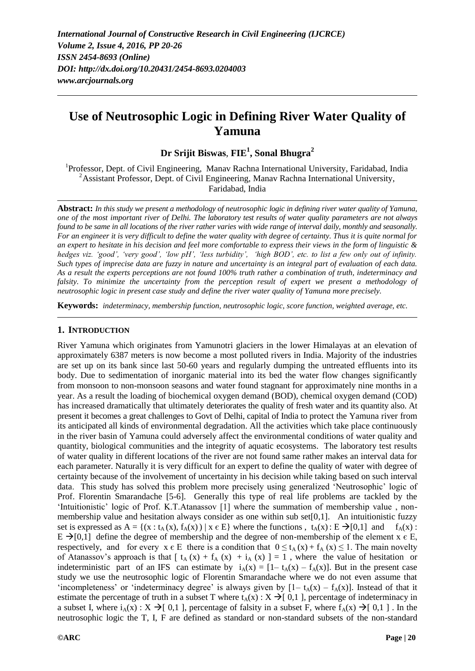# **Use of Neutrosophic Logic in Defining River Water Quality of Yamuna**

**Dr Srijit Biswas**, **FIE<sup>1</sup> , Sonal Bhugra<sup>2</sup>**

<sup>1</sup>Professor, Dept. of Civil Engineering, Manav Rachna International University, Faridabad, India <sup>2</sup> Assistant Professor, Dept. of Civil Engineering, Manav Rachna International University, Faridabad, India

**Abstract:** *In this study we present a methodology of neutrosophic logic in defining river water quality of Yamuna, one of the most important river of Delhi. The laboratory test results of water quality parameters are not always found to be same in all locations of the river rather varies with wide range of interval daily, monthly and seasonally. For an engineer it is very difficult to define the water quality with degree of certainty. Thus it is quite normal for an expert to hesitate in his decision and feel more comfortable to express their views in the form of linguistic & hedges viz. 'good', 'very good', 'low pH', 'less turbidity', 'high BOD', etc. to list a few only out of infinity. Such types of imprecise data are fuzzy in nature and uncertainty is an integral part of evaluation of each data. As a result the experts perceptions are not found 100% truth rather a combination of truth, indeterminacy and falsity. To minimize the uncertainty from the perception result of expert we present a methodology of neutrosophic logic in present case study and define the river water quality of Yamuna more precisely.*

**Keywords:** *indeterminacy, membership function, neutrosophic logic, score function, weighted average, etc.*

## **1. INTRODUCTION**

River Yamuna which originates from Yamunotri glaciers in the lower Himalayas at an elevation of approximately 6387 meters is now become a most polluted rivers in India. Majority of the industries are set up on its bank since last 50-60 years and regularly dumping the untreated effluents into its body. Due to sedimentation of inorganic material into its bed the water flow changes significantly from monsoon to non-monsoon seasons and water found stagnant for approximately nine months in a year. As a result the loading of biochemical oxygen demand (BOD), chemical oxygen demand (COD) has increased dramatically that ultimately deteriorates the quality of fresh water and its quantity also. At present it becomes a great challenges to Govt of Delhi, capital of India to protect the Yamuna river from its anticipated all kinds of environmental degradation. All the activities which take place continuously in the river basin of Yamuna could adversely affect the environmental conditions of water quality and quantity, biological communities and the integrity of aquatic ecosystems. The laboratory test results of water quality in different locations of the river are not found same rather makes an interval data for each parameter. Naturally it is very difficult for an expert to define the quality of water with degree of certainty because of the involvement of uncertainty in his decision while taking based on such interval data. This study has solved this problem more precisely using generalized "Neutrosophic" logic of Prof. Florentin Smarandache [5-6]. Generally this type of real life problems are tackled by the 'Intuitionistic' logic of Prof. K.T.Atanassov [1] where the summation of membership value, nonmembership value and hesitation always consider as one within sub set $[0,1]$ . An intuitionistic fuzzy set is expressed as  $A = \{(x : t_A(x), f_A(x)) | x \in E\}$  where the functions,  $t_A(x) : E \rightarrow [0,1]$  and  $f_A(x)$ :  $E \rightarrow [0,1]$  define the degree of membership and the degree of non-membership of the element x  $\epsilon E$ , respectively, and for every  $x \in E$  there is a condition that  $0 \le t_A(x) + f_A(x) \le 1$ . The main novelty of Atanassov's approach is that  $\int t_A(x) + f_A(x) + i_A(x) = 1$ , where the value of hesitation or indeterministic part of an IFS can estimate by  $i_A(x) = [1 - t_A(x) - f_A(x)]$ . But in the present case study we use the neutrosophic logic of Florentin Smarandache where we do not even assume that 'incompleteness' or 'indeterminacy degree' is always given by  $[1 - t<sub>A</sub>(x) - t<sub>A</sub>(x)]$ . Instead of that it estimate the percentage of truth in a subset T where  $t_A(x)$  :  $X \rightarrow [0,1]$ , percentage of indeterminacy in a subset I, where  $i_A(x)$ :  $X \rightarrow [ 0,1 ]$ , percentage of falsity in a subset F, where  $f_A(x) \rightarrow [ 0,1 ]$ . In the neutrosophic logic the T, I, F are defined as standard or non-standard subsets of the non-standard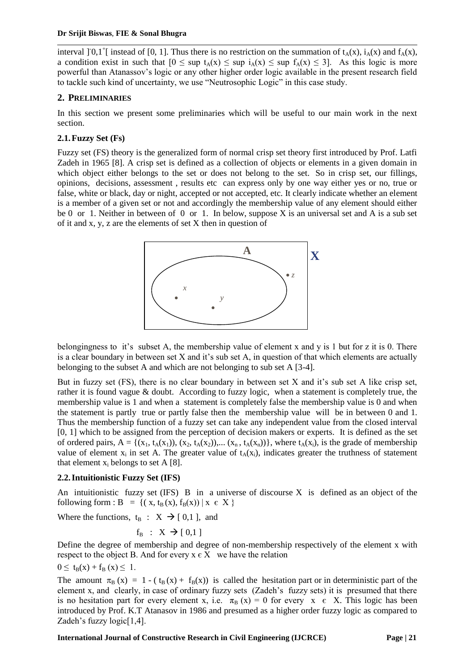interval ]<sup>-</sup>0,1<sup>+</sup>[ instead of [0, 1]. Thus there is no restriction on the summation of  $t_A(x)$ ,  $i_A(x)$  and  $f_A(x)$ , a condition exist in such that  $[0 \leq \sup t_{A}(x) \leq \sup t_{A}(x) \leq \sup f_{A}(x) \leq 3]$ . As this logic is more powerful than Atanassov"s logic or any other higher order logic available in the present research field to tackle such kind of uncertainty, we use "Neutrosophic Logic" in this case study.

# **2. PRELIMINARIES**

In this section we present some preliminaries which will be useful to our main work in the next section.

# **2.1.Fuzzy Set (Fs)**

Fuzzy set (FS) theory is the generalized form of normal crisp set theory first introduced by Prof. Latfi Zadeh in 1965 [8]. A crisp set is defined as a collection of objects or elements in a given domain in which object either belongs to the set or does not belong to the set. So in crisp set, our fillings, opinions, decisions, assessment , results etc can express only by one way either yes or no, true or false, white or black, day or night, accepted or not accepted, etc. It clearly indicate whether an element is a member of a given set or not and accordingly the membership value of any element should either be 0 or 1. Neither in between of 0 or 1. In below, suppose X is an universal set and A is a sub set of it and x, y, z are the elements of set X then in question of



belongingness to it"s subset A, the membership value of element x and y is 1 but for z it is 0. There is a clear boundary in between set  $X$  and it's sub set  $A$ , in question of that which elements are actually belonging to the subset A and which are not belonging to sub set A [3-4].

But in fuzzy set  $(FS)$ , there is no clear boundary in between set X and it's sub set A like crisp set, rather it is found vague & doubt. According to fuzzy logic, when a statement is completely true, the membership value is 1 and when a statement is completely false the membership value is 0 and when the statement is partly true or partly false then the membership value will be in between 0 and 1. Thus the membership function of a fuzzy set can take any independent value from the closed interval [0, 1] which to be assigned from the perception of decision makers or experts. It is defined as the set of ordered pairs,  $A = \{(x_1, t_A(x_1)), (x_2, t_A(x_2)), \dots (x_n, t_A(x_n))\}$ , where  $t_A(x_i)$ , is the grade of membership value of element  $x_i$  in set A. The greater value of  $t_A(x_i)$ , indicates greater the truthness of statement that element  $x_i$  belongs to set A [8].

## **2.2.Intuitionistic Fuzzy Set (IFS)**

An intuitionistic fuzzy set  $(IFS)$  B in a universe of discourse X is defined as an object of the following form : B = {( $x, t_B(x), f_B(x)$ ) |  $x \in X$  }

Where the functions,  $t_B : X \rightarrow [0,1]$ , and

$$
f_B : X \to [0,1]
$$

Define the degree of membership and degree of non-membership respectively of the element x with respect to the object B. And for every  $x \in X$  we have the relation

 $0 \le t_B(x) + f_B(x) \le 1$ .

The amount  $\pi_B$  (x) = 1 - ( $t_B$  (x) +  $f_B$ (x)) is called the hesitation part or in deterministic part of the element x, and clearly, in case of ordinary fuzzy sets (Zadeh"s fuzzy sets) it is presumed that there is no hesitation part for every element x, i.e.  $\pi_B(x) = 0$  for every  $x \in X$ . This logic has been introduced by Prof. K.T Atanasov in 1986 and presumed as a higher order fuzzy logic as compared to Zadeh's fuzzy  $logic[1,4]$ .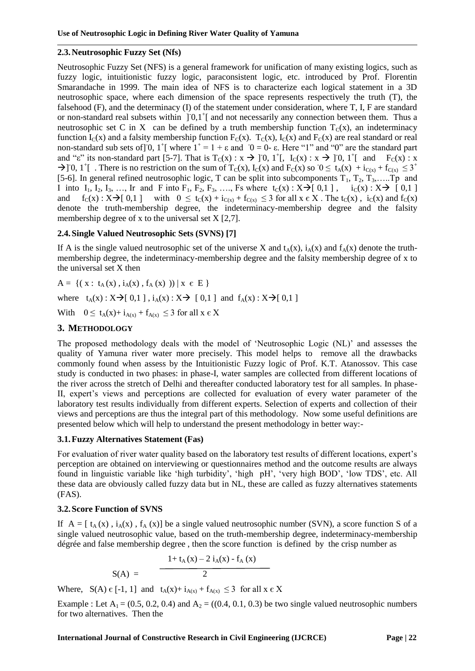#### **2.3.Neutrosophic Fuzzy Set (Nfs)**

Neutrosophic Fuzzy Set (NFS) is a general framework for unification of many existing logics, such as fuzzy logic, intuitionistic fuzzy logic, paraconsistent logic, etc. introduced by Prof. Florentin Smarandache in 1999. The main idea of NFS is to characterize each logical statement in a 3D neutrosophic space, where each dimension of the space represents respectively the truth (T), the falsehood (F), and the determinacy (I) of the statement under consideration, where T, I, F are standard or non-standard real subsets within  $] 0,1^{\dagger} [$  and not necessarily any connection between them. Thus a neutrosophic set C in X can be defined by a truth membership function  $T_c(x)$ , an indeterminacy function  $I_C(x)$  and a falsity membership function  $F_C(x)$ .  $T_C(x)$ ,  $I_C(x)$  and  $F_C(x)$  are real standard or real non-standard sub sets of  $\overline{0}$ ,  $1^+$ [ where  $1^+$  = 1 +  $\varepsilon$  and  $\overline{0}$  = 0- $\varepsilon$ . Here "1" and "0" are the standard part and "ε" its non-standard part [5-7]. That is  $T_c(x) : x \to [0, 1^+]$ ,  $I_c(x) : x \to [0, 1^+]$  and  $F_c(x) : x$  $\rightarrow$  [0, 1<sup>+</sup>[ . There is no restriction on the sum of T<sub>C</sub>(x), I<sub>C</sub>(x) and F<sub>C</sub>(x) so  $0 \le t_A(x) + i_{C(x)} + f_{C(x)} \le 3^+$ [5-6]. In general refined neutrosophic logic, T can be split into subcomponents  $T_1, T_2, T_3, \ldots$ . Tp and I into  $I_1$ ,  $I_2$ ,  $I_3$ , ..., Ir and F into  $F_1$ ,  $F_2$ ,  $F_3$ , ..., Fs where  $t_C(x) : X \rightarrow [0,1]$ ,  $i_C(x) : X \rightarrow [0,1]$ and  $f_C(x) : X \rightarrow [0,1]$  with  $0 \le t_C(x) + i_{C(x)} + f_{C(x)} \le 3$  for all  $x \in X$ . The  $t_C(x)$ ,  $i_C(x)$  and  $f_C(x)$ denote the truth-membership degree, the indeterminacy-membership degree and the falsity membership degree of x to the universal set  $X$  [2,7].

## **2.4.Single Valued Neutrosophic Sets (SVNS) [7]**

If A is the single valued neutrosophic set of the universe X and  $t_A(x)$ ,  $i_A(x)$  and  $f_A(x)$  denote the truthmembership degree, the indeterminacy-membership degree and the falsity membership degree of x to the universal set X then

 $A = \{ (x : t_A(x), i_A(x), f_A(x)) | x \in E \}$ 

where  $t_A(x): X \rightarrow [0,1]$ ,  $i_A(x): X \rightarrow [0,1]$  and  $f_A(x): X \rightarrow [0,1]$ 

With  $0 \le t_A(x) + i_{A(x)} + f_{A(x)} \le 3$  for all  $x \in X$ 

## **3. METHODOLOGY**

The proposed methodology deals with the model of "Neutrosophic Logic (NL)" and assesses the quality of Yamuna river water more precisely. This model helps to remove all the drawbacks commonly found when assess by the Intuitionistic Fuzzy logic of Prof. K.T. Atanossov. This case study is conducted in two phases: in phase-I, water samples are collected from different locations of the river across the stretch of Delhi and thereafter conducted laboratory test for all samples. In phase-II, expert's views and perceptions are collected for evaluation of every water parameter of the laboratory test results individually from different experts. Selection of experts and collection of their views and perceptions are thus the integral part of this methodology. Now some useful definitions are presented below which will help to understand the present methodology in better way:-

#### **3.1.Fuzzy Alternatives Statement (Fas)**

For evaluation of river water quality based on the laboratory test results of different locations, expert"s perception are obtained on interviewing or questionnaires method and the outcome results are always found in linguistic variable like "high turbidity", "high pH", "very high BOD", "low TDS", etc. All these data are obviously called fuzzy data but in NL, these are called as fuzzy alternatives statements (FAS).

#### **3.2.Score Function of SVNS**

If  $A = [t<sub>A</sub>(x), i<sub>A</sub>(x), f<sub>A</sub>(x)]$  be a single valued neutrosophic number (SVN), a score function S of a single valued neutrosophic value, based on the truth-membership degree, indeterminacy-membership dégrée and false membership degree , then the score function is defined by the crisp number as

$$
S(A) = \frac{1 + t_A(x) - 2 i_A(x) - f_A(x)}{2}
$$

Where,  $S(A) \in [-1, 1]$  and  $t_A(x) + i_{A(x)} + f_{A(x)} \leq 3$  for all  $x \in X$ 

Example : Let  $A_1 = (0.5, 0.2, 0.4)$  and  $A_2 = ((0.4, 0.1, 0.3)$  be two single valued neutrosophic numbers for two alternatives. Then the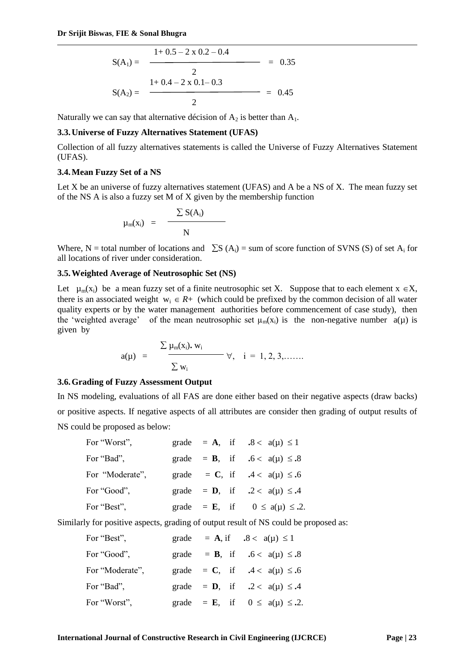$$
S(A_1) = \frac{1 + 0.5 - 2 \times 0.2 - 0.4}{2} = 0.35
$$

$$
S(A_2) = \frac{1 + 0.4 - 2 \times 0.1 - 0.3}{2} = 0.45
$$

Naturally we can say that alternative décision of  $A_2$  is better than  $A_1$ .

#### **3.3.Universe of Fuzzy Alternatives Statement (UFAS)**

Collection of all fuzzy alternatives statements is called the Universe of Fuzzy Alternatives Statement (UFAS).

#### **3.4.Mean Fuzzy Set of a NS**

Let X be an universe of fuzzy alternatives statement (UFAS) and A be a NS of X. The mean fuzzy set of the NS A is also a fuzzy set M of X given by the membership function

$$
\mu_{m}(x_{i}) = \frac{\sum S(A_{i})}{N}
$$

Where, N = total number of locations and  $\sum S (A_i)$  = sum of score function of SVNS (S) of set A<sub>i</sub> for all locations of river under consideration.

#### **3.5.Weighted Average of Neutrosophic Set (NS)**

Let  $\mu_m(x_i)$  be a mean fuzzy set of a finite neutrosophic set X. Suppose that to each element  $x \in X$ , there is an associated weight  $w_i \in R+$  (which could be prefixed by the common decision of all water quality experts or by the water management authorities before commencement of case study), then the 'weighted average' of the mean neutrosophic set  $\mu_m(x_i)$  is the non-negative number  $a(\mu)$  is given by

$$
a(\mu) = \frac{\sum \mu_m(x_i). w_i}{\sum w_i} \quad \forall, \quad i = 1, 2, 3, \ldots
$$

#### **3.6.Grading of Fuzzy Assessment Output**

In NS modeling, evaluations of all FAS are done either based on their negative aspects (draw backs) or positive aspects. If negative aspects of all attributes are consider then grading of output results of NS could be proposed as below:

| For "Worst",    |  |  | grade = A, if $.8 < a(\mu) \le 1$             |
|-----------------|--|--|-----------------------------------------------|
| For "Bad",      |  |  | grade = <b>B</b> , if $.6 < a(\mu) \le .8$    |
| For "Moderate", |  |  | grade = C, if $.4 < a(\mu) \le .6$            |
| For "Good",     |  |  | grade = <b>D</b> , if $.2 < a(\mu) \le .4$    |
| For "Best",     |  |  | grade = <b>E</b> , if $0 \le a(\mu) \le .2$ . |

Similarly for positive aspects, grading of output result of NS could be proposed as:

| For "Best",     | grade = $\mathbf{A}$ , if $.8 < a(\mu) \le 1$ |  |
|-----------------|-----------------------------------------------|--|
| For "Good",     | = <b>B</b> , if .6 < $a(\mu) \le .8$<br>grade |  |
| For "Moderate", | grade = C, if $.4 < a(\mu) \le .6$            |  |
| For "Bad",      | grade = <b>D</b> , if $.2 < a(\mu) \le .4$    |  |
| For "Worst",    | grade = <b>E</b> , if $0 \le a(\mu) \le .2$ . |  |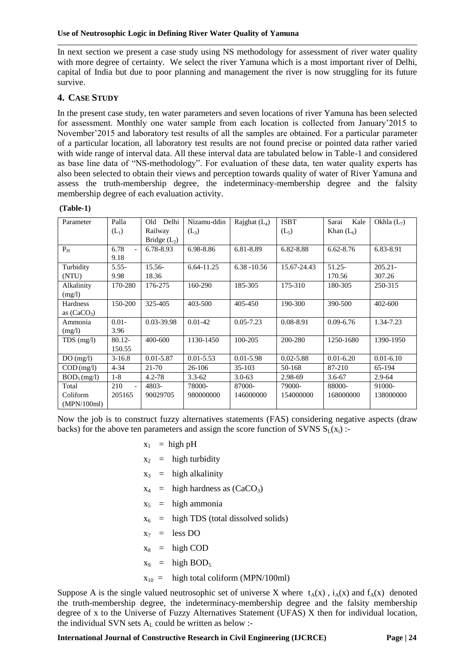In next section we present a case study using NS methodology for assessment of river water quality with more degree of certainty. We select the river Yamuna which is a most important river of Delhi, capital of India but due to poor planning and management the river is now struggling for its future survive.

## **4. CASE STUDY**

In the present case study, ten water parameters and seven locations of river Yamuna has been selected for assessment. Monthly one water sample from each location is collected from January"2015 to November"2015 and laboratory test results of all the samples are obtained. For a particular parameter of a particular location, all laboratory test results are not found precise or pointed data rather varied with wide range of interval data. All these interval data are tabulated below in Table-1 and considered as base line data of "NS-methodology". For evaluation of these data, ten water quality experts has also been selected to obtain their views and perception towards quality of water of River Yamuna and assess the truth-membership degree, the indeterminacy-membership degree and the falsity membership degree of each evaluation activity.

#### **(Table-1)**

| Parameter                        | Palla<br>$(L_1)$               | Delhi<br>Old<br>Railway<br>Bridge $(L_2)$ | Nizamu-ddin<br>$(L_3)$ | Rajghat $(L_4)$     | <b>ISBT</b><br>$(L_5)$ | Sarai<br>Kale<br>Khan $(L_6)$ | Okhla $(L_7)$        |
|----------------------------------|--------------------------------|-------------------------------------------|------------------------|---------------------|------------------------|-------------------------------|----------------------|
| $P_{H}$                          | 6.78<br>$\overline{a}$<br>9.18 | 6.78-8.93                                 | 6.98-8.86              | 6.81-8.89           | 6.82-8.88              | $6.62 - 8.76$                 | 6.83-8.91            |
| Turbidity<br>(NTU)               | $5.55 -$<br>9.98               | $15.56-$<br>18.36                         | 6.64-11.25             | $6.38 - 10.56$      | 15.67-24.43            | $51.25 -$<br>170.56           | $205.21 -$<br>307.26 |
| Alkalinity<br>(mg/l)             | 170-280                        | 176-275                                   | 160-290                | 185-305             | 175-310                | 180-305                       | 250-315              |
| Hardness<br>as $(CaCO3)$         | 150-200                        | 325-405                                   | 403-500                | 405-450             | 190-300                | 390-500                       | 402-600              |
| Ammonia<br>(mg/l)                | $0.01 -$<br>3.96               | 0.03-39.98                                | $0.01 - 42$            | $0.05 - 7.23$       | $0.08 - 8.91$          | $0.09 - 6.76$                 | 1.34-7.23            |
| $TDS$ (mg/l)                     | $80.12 -$<br>150.55            | 400-600                                   | 1130-1450              | 100-205             | 200-280                | 1250-1680                     | 1390-1950            |
| DO(mg/l)                         | $3-16.8$                       | $0.01 - 5.87$                             | $0.01 - 5.53$          | $0.01 - 5.98$       | $0.02 - 5.88$          | $0.01 - 6.20$                 | $0.01 - 6.10$        |
| $COD$ (mg/l)                     | $4 - 34$                       | 21-70                                     | 26-106                 | 35-103              | 50-168                 | 87-210                        | 65-194               |
| $BOD_5$ (mg/l)                   | $1-8$                          | $4.2 - 78$                                | $3.3 - 62$             | $3.0 - 63$          | 2.98-69                | $3.6 - 67$                    | $2.9 - 64$           |
| Total<br>Coliform<br>(MPN/100ml) | 210<br>$\mathbf{r}$<br>205165  | 4803-<br>90029705                         | 78000-<br>980000000    | 87000-<br>146000000 | 79000-<br>154000000    | 88000-<br>168000000           | 91000-<br>138000000  |

Now the job is to construct fuzzy alternatives statements (FAS) considering negative aspects (draw backs) for the above ten parameters and assign the score function of SVNS  $S_l(x_i)$ :

- $x_1$  = high pH
- $x_2$  = high turbidity
- $x_3$  = high alkalinity
- $x_4$  = high hardness as  $(CaCO_3)$
- $x_5$  = high ammonia
- $x_6$  = high TDS (total dissolved solids)
- $x_7$  = less DO
- $x_8$  = high COD
- $x_9$  = high BOD<sub>5</sub>
- $x_{10}$  = high total coliform (MPN/100ml)

Suppose A is the single valued neutrosophic set of universe X where  $t_A(x)$ ,  $i_A(x)$  and  $f_A(x)$  denoted the truth-membership degree, the indeterminacy-membership degree and the falsity membership degree of x to the Universe of Fuzzy Alternatives Statement (UFAS) X then for individual location, the individual SVN sets  $A_L$  could be written as below :-

**International Journal of Constructive Research in Civil Engineering (IJCRCE) Page | 24**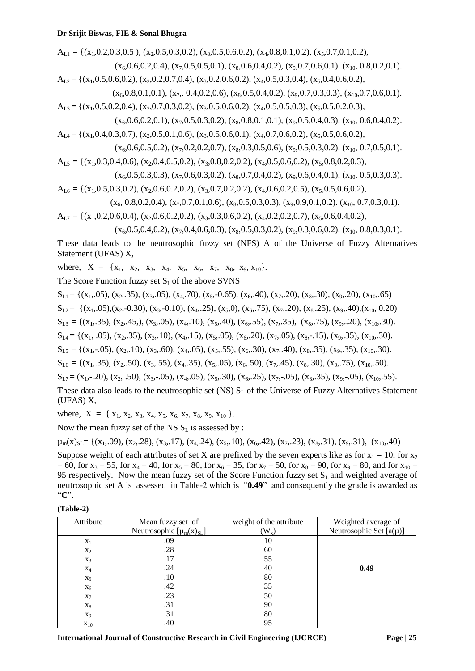$A_{L1} = \{(x_1, 0.2, 0.3, 0.5), (x_2, 0.5, 0.3, 0.2), (x_3, 0.5, 0.6, 0.2), (x_4, 0.8, 0.1, 0.2), (x_5, 0.7, 0.1, 0.2),$  $(x<sub>6</sub>,0.6,0.2,0.4), (x<sub>7</sub>,0.5,0.5,0.1), (x<sub>8</sub>,0.6,0.4,0.2), (x<sub>9</sub>,0.7,0.6,0.1), (x<sub>10</sub>, 0.8,0.2,0.1).$  $A_{L2} = \{(x_1, 0.5, 0.6, 0.2), (x_2, 0.2, 0.7, 0.4), (x_3, 0.2, 0.6, 0.2), (x_4, 0.5, 0.3, 0.4), (x_5, 0.4, 0.6, 0.2),$  $(x_6, 0.8, 0.1, 0.1), (x_7, 0.4, 0.2, 0.6), (x_8, 0.5, 0.4, 0.2), (x_9, 0.7, 0.3, 0.3), (x_{10}, 0.7, 0.6, 0.1).$ AL3 = {(x1,0.5,0.2,0.4), (x2,0.7,0.3,0.2), (x3,0.5,0.6,0.2), (x4,0.5,0.5,0.3), (x5,0.5,0.2,0.3),  $(x<sub>6</sub>,0.6,0.2,0.1), (x<sub>7</sub>,0.5,0.3,0.2), (x<sub>8</sub>,0.8,0.1,0.1), (x<sub>9</sub>,0.5,0.4,0.3), (x<sub>10</sub>, 0.6,0.4,0.2).$ 

 $A_{1,4} = \{(x_1, 0.4, 0.3, 0.7), (x_2, 0.5, 0.1, 0.6), (x_3, 0.5, 0.6, 0.1), (x_4, 0.7, 0.6, 0.2), (x_5, 0.5, 0.6, 0.2),$ 

- $(x_6,0.6,0.5,0.2), (x_7,0.2,0.2,0.7), (x_8,0.3,0.5,0.6), (x_9,0.5,0.3,0.2), (x_{10}, 0.7,0.5,0.1).$
- AL5 = {(x1,0.3,0.4,0.6), (x2,0.4,0.5,0.2), (x3,0.8,0.2,0.2), (x4,0.5,0.6,0.2), (x5,0.8,0.2,0.3),

 $(x_6, 0.5, 0.3, 0.3), (x_7, 0.6, 0.3, 0.2), (x_8, 0.7, 0.4, 0.2), (x_9, 0.6, 0.4, 0.1). (x_{10}, 0.5, 0.3, 0.3).$  $A_{16} = {(x,0.5,0.3,0.2), (x,0.6,0.2,0.2), (x,0.7,0.2,0.2), (x,0.6,0.2,0.5), (x,0.5,0.6,0.2)}$ 

$$
x_{L6} = \{(x_1, 0.5, 0.5, 0.2), (x_2, 0.6, 0.2, 0.4), (x_3, 0.7, 0.2, 0.2), (x_4, 0.6, 0.2, 0.5), (x_5, 0.5, 0.6, 0.2, 0.4), (x_6, 0.8, 0.2, 0.4), (x_7, 0.7, 0.1, 0.6), (x_8, 0.5, 0.3, 0.3), (x_9, 0.9, 0.1, 0.2), (x_{10}, 0.7, 0.3, 0.1), (x_{11}, 0.6, 0.3, 0.4, 0.5), (x_{11}, 0.6, 0.4, 0.5, 0.5), (x_{12}, 0.6, 0.2, 0.4, 0.5, 0.5), (x_{13}, 0.6, 0.2, 0.4, 0.5, 0.5), (x_{14}, 0.6, 0.2, 0.4, 0.5, 0.5), (x_{15}, 0.6, 0.2, 0.4, 0.5), (x_{16}, 0.6, 0.2, 0.4, 0.5, 0.5), (x_{17}, 0.6, 0.2, 0.4, 0.4, 0.5), (x_{18}, 0.6, 0.2, 0.4, 0.4, 0.5), (x_{19}, 0.6, 0.2, 0.4, 0.4, 0.5), (x_{10}, 0.6, 0.2, 0.4, 0.4, 0.5), (x_{10}, 0.6, 0.2, 0.4, 0.4, 0.5), (x_{10}, 0.6, 0.2, 0.4, 0.4, 0.5), (x_{10}, 0.6, 0.2, 0.4, 0.4, 0.5), (x_{10}, 0.6, 0.2, 0.4, 0.4, 0.5), (x_{10}, 0.6, 0.2, 0.4, 0.5), (x_{10}, 0.6, 0.4, 0.4, 0.5), (x_{10}, 0.6, 0.4, 0.4, 0.5), (x_{10}, 0.6, 0.4, 0
$$

$$
A_{L7} = \{ (x_1, 0.2, 0.6, 0.4), (x_2, 0.6, 0.2, 0.2), (x_3, 0.3, 0.6, 0.2), (x_4, 0.2, 0.2, 0.7), (x_5, 0.6, 0.4, 0.2), (x_6, 0.4, 0.2, 0.2), (x_7, 0.2, 0.2, 0.2), (x_8, 0.2, 0.2, 0.2), (x_9, 0.2, 0.2, 0.2), (x_{10}, 0.2, 0.2, 0.2), (x_{11}, 0.2, 0.2, 0.2), (x_{12}, 0.2, 0.2, 0.2), (x_{13}, 0.2, 0.2, 0.2), (x_{14}, 0.2, 0.2, 0.2), (x_{15}, 0.2, 0.2, 0.2), (x_{16}, 0.2, 0.2, 0.2), (x_{17}, 0.2, 0.2, 0.2), (x_{18}, 0.2, 0.2, 0.2), (x_{19}, 0.2, 0.2, 0.2), (x_{10}, 0.2, 0.2, 0.2), (x_{10}, 0.2, 0.2, 0.2), (x_{11}, 0.2, 0.2, 0.2), (x_{12}, 0.2, 0.2, 0.2), (x_{13}, 0.2, 0.2, 0.2), (x_{14}, 0.2, 0.2, 0.2), (x_{15}, 0.2, 0.2, 0.2), (x_{16}, 0.2, 0.2, 0.2), (x_{17}, 0.2, 0.2, 0.2), (x_{18}, 0.2, 0.2, 0.2), (x_{19}, 0.2, 0.2, 0.2), (x_{19}, 0.2, 0.2, 0.2), (x_{10}, 0.2, 0.2, 0.2), (x_{10}, 0.2, 0.2, 0.2), (x_{10}, 0.2, 0.2, 0.2), (x_{10}, 0.2, 0.2, 0.2), (x_{11}, 0.2, 0.2, 0.2), (x_{1
$$

$$
(x_6, 0.5, 0.4, 0.2), (x_7, 0.4, 0.6, 0.3), (x_8, 0.5, 0.3, 0.2), (x_9, 0.3, 0.6, 0.2), (x_{10}, 0.8, 0.3, 0.1).
$$

These data leads to the neutrosophic fuzzy set (NFS) A of the Universe of Fuzzy Alternatives Statement (UFAS) X,

where,  $X = \{x_1, x_2, x_3, x_4, x_5, x_6, x_7, x_8, x_9, x_{10}\}.$ 

The Score Function fuzzy set  $S_L$  of the above SVNS

 $S_{1,1} = \{(x_1, 0.05), (x_2, 0.35), (x_3, 0.05), (x_4, 0.70), (x_5, 0.65), (x_6, 40), (x_7, 0.20), (x_8, 0.30), (x_9, 0.20), (x_{10}, 0.65)\}$  $S_{L2} = \{(x_1, 0.05), (x_2, -0.30), (x_3, -0.10), (x_4, 0.25), (x_5, 0), (x_6, 0.75), (x_7, 0.20), (x_8, 0.25), (x_9, 0.40), (x_{10}, 0.20)\}$  $S_{L3} = \{(x_1, 35), (x_2, 45), (x_3, 05), (x_4, 10), (x_5, 40), (x_6, 55), (x_7, 35), (x_8, 75), (x_9, 20), (x_{10}, 30)\}.$  $S_{1,4} = \{(x_1, .05), (x_2, .35), (x_3, .10), (x_4, .15), (x_5, .05), (x_6, .20), (x_7, .05), (x_8, .15), (x_9, .35), (x_{10}, .30).$  $S_{1.5} = \{(x_1, -0.05), (x_2, 10), (x_3, 60), (x_4, 0.05), (x_5, 0.55), (x_6, 0.30), (x_7, 40), (x_8, 0.35), (x_9, 0.35), (x_{10}, 0.30)\}.$  $S_{16} = \{(x_1, 35), (x_2, 50), (x_3, 55), (x_4, 35), (x_5, 05), (x_6, 50), (x_7, 45), (x_8, 30), (x_9, 75), (x_{10}, 50)\}.$  $S_{1,7} = (x_1, -20), (x_2, .50), (x_3, -05), (x_4, .05), (x_5, .30), (x_6, .25), (x_7, -05), (x_8, .35), (x_9, -05), (x_{10}, .55).$ These data also leads to the neutrosophic set (NS)  $S_L$  of the Universe of Fuzzy Alternatives Statement (UFAS) X,

where,  $X = \{x_1, x_2, x_3, x_4, x_5, x_6, x_7, x_8, x_9, x_{10}\}.$ 

Now the mean fuzzy set of the NS  $S_L$  is assessed by :

 $\mu_{m}(x)_{S} = \{(x_1, 0.09), (x_2, 2.8), (x_3, 1.7), (x_4, 2.4), (x_5, 1.0), (x_6, 4.2), (x_7, 2.3), (x_8, 3.1), (x_9, 3.1), (x_{10}, 4.0)\}$ 

Suppose weight of each attributes of set X are prefixed by the seven experts like as for  $x_1 = 10$ , for  $x_2$  $= 60$ , for  $x_3 = 55$ , for  $x_4 = 40$ , for  $x_5 = 80$ , for  $x_6 = 35$ , for  $x_7 = 50$ , for  $x_8 = 90$ , for  $x_9 = 80$ , and for  $x_{10} = 60$ 95 respectively. Now the mean fuzzy set of the Score Function fuzzy set  $S_L$  and weighted average of neutrosophic set A is assessed in Table-2 which is "**0.49**" and consequently the grade is awarded as "**C**".

**(Table-2)**

| Attribute      | Mean fuzzy set of              | weight of the attribute | Weighted average of         |
|----------------|--------------------------------|-------------------------|-----------------------------|
|                | Neutrosophic $[\mu_m(x)_{SL}]$ | $(W_x)$                 | Neutrosophic Set $[a(\mu)]$ |
| $X_1$          | .09                            | 10                      |                             |
| $x_2$          | .28                            | 60                      |                             |
| $X_3$          | .17                            | 55                      |                             |
| $X_4$          | .24                            | 40                      | 0.49                        |
| $X_5$          | .10                            | 80                      |                             |
| $X_6$          | .42                            | 35                      |                             |
| $X_7$          | .23                            | 50                      |                             |
| $X_8$          | .31                            | 90                      |                             |
| X <sub>9</sub> | .31                            | 80                      |                             |
| $X_{10}$       | .40                            | 95                      |                             |